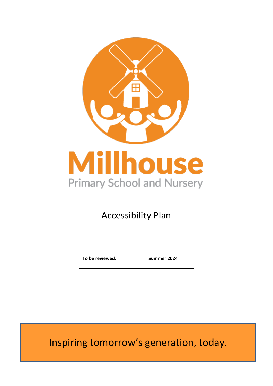

# Accessibility Plan

**To be reviewed: Summer 2024**

Inspiring tomorrow's generation, today.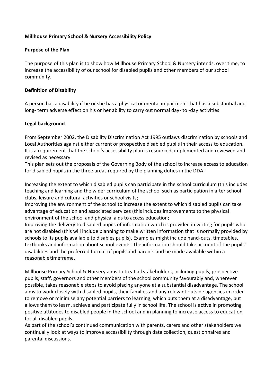## **Millhouse Primary School & Nursery Accessibility Policy**

#### **Purpose of the Plan**

The purpose of this plan is to show how Millhouse Primary School & Nursery intends, over time, to increase the accessibility of our school for disabled pupils and other members of our school community.

#### **Definition of Disability**

A person has a disability if he or she has a physical or mental impairment that has a substantial and long- term adverse effect on his or her ability to carry out normal day- to -day activities

#### **Legal background**

From September 2002, the Disability Discrimination Act 1995 outlaws discrimination by schools and Local Authorities against either current or prospective disabled pupils in their access to education. It is a requirement that the school's accessibility plan is resourced, implemented and reviewed and revised as necessary.

This plan sets out the proposals of the Governing Body of the school to increase access to education for disabled pupils in the three areas required by the planning duties in the DDA:

Increasing the extent to which disabled pupils can participate in the school curriculum (this includes teaching and learning and the wider curriculum of the school such as participation in after school clubs, leisure and cultural activities or school visits;

Improving the environment of the school to increase the extent to which disabled pupils can take advantage of education and associated services (this includes improvements to the physical environment of the school and physical aids to access education;

Improving the delivery to disabled pupils of information which is provided in writing for pupils who are not disabled (this will include planning to make written information that is normally provided by schools to its pupils available to disables pupils). Examples might include hand-outs, timetables, textbooks and information about school events. The information should take account of the pupils` disabilities and the preferred format of pupils and parents and be made available within a reasonabletimeframe.

Millhouse Primary School & Nursery aims to treat all stakeholders, including pupils, prospective pupils, staff, governors and other members of the school community favourably and, wherever possible, takes reasonable steps to avoid placing anyone at a substantial disadvantage. The school aims to work closely with disabled pupils, their families and any relevant outside agencies in order to remove or minimise any potential barriers to learning, which puts them at a disadvantage, but allows them to learn, achieve and participate fully in school life. The school is active in promoting positive attitudes to disabled people in the school and in planning to increase access to education for all disabled pupils.

As part of the school's continued communication with parents, carers and other stakeholders we continually look at ways to improve accessibility through data collection, questionnaires and parental discussions.